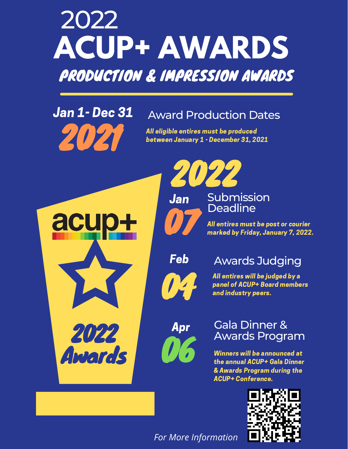# **ACUP+ AWARDS** PRODUCTION & IMPRESSION AWARDS 2022

2021

### Jan 1- Dec 31 Award Production Dates

All eligible entires must be produced between January 1 - December 31, 2021

2022



Jan

### **Submission Deadline**

All entires must be post or courier<br>marked by Friday, January 7, 2022.



### **Feb** Awards Judging

All entires will be judged by a panel of ACUP+ Board members<br>and industry peers.

06 Apr

#### Gala Dinner & Awards Program

Winners will be announced at the annual ACUP+ Gala Dinner & Awards Program during the ACUP+ Conference.



*For More Information*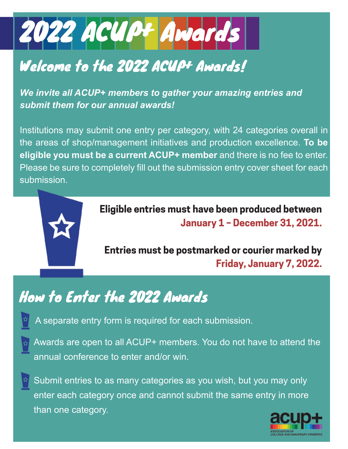

## Welcome to the 2022 ACUP+ Awards!

*We invite all ACUP+ members to gather your amazing entries and submit them for our annual awards!*

Institutions may submit one entry per category, with 24 categories overall in the areas of shop/management initiatives and production excellence. **To be eligible you must be a current ACUP+ member** and there is no fee to enter. Please be sure to completely fill out the submission entry cover sheet for each submission.



**Eligible entries must have been produced between January 1 – December 31, 2021.** 

**Entries must be postmarked or courier marked by Friday, January 7, 2022.** 

## How to Enter the 2022 Awards



A separate entry form is required for each submission.

Awards are open to all ACUP+ members. You do not have to attend the annual conference to enter and/or win.

Submit entries to as many categories as you wish, but you may only enter each category once and cannot submit the same entry in more than one category.

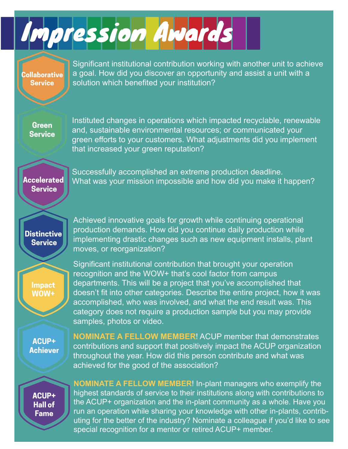

**Collaborative Service**

Significant institutional contribution working with another unit to achieve a goal. How did you discover an opportunity and assist a unit with a solution which benefited your institution?

**Green Service** Instituted changes in operations which impacted recyclable, renewable and, sustainable environmental resources; or communicated your green efforts to your customers. What adjustments did you implement that increased your green reputation?

**Accelerated Service**

Successfully accomplished an extreme production deadline. What was your mission impossible and how did you make it happen?

**Distinctive Service**

Achieved innovative goals for growth while continuing operational production demands. How did you continue daily production while implementing drastic changes such as new equipment installs, plant moves, or reorganization?

**Impact WOW+**

Significant institutional contribution that brought your operation<br>recognition and the WOW+ that's cool factor from campus recognition and the WOW+ that's cool factor from campus departments. This will be a project that you've accomplished that doesn't fit into other categories. Describe the entire project, how it was accomplished, who was involved, and what the end result was. This category does not require a production sample but you may provide samples, photos or video.

**ACUP+ Achiever** **NOMINATE A FELLOW MEMBER**! ACUP member that demonstrates contributions and support that positively impact the ACUP organization throughout the year. How did this person contribute and what was achieved for the good of the association?

**ACUP+ Hall of Fame**

**NOMINATE A FELLOW MEMBER**! In-plant managers who exemplify the highest standards of service to their institutions along with contributions to the ACUP+ organization and the in-plant community as a whole. Have you run an operation while sharing your knowledge with other in-plants, contributing for the better of the industry? Nominate a colleague if you'd like to see special recognition for a mentor or retired ACUP+ member.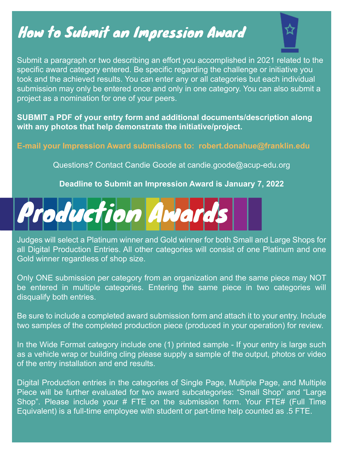## How to Submit an Impression Award



Submit a paragraph or two describing an effort you accomplished in 2021 related to the specific award category entered. Be specific regarding the challenge or initiative you took and the achieved results. You can enter any or all categories but each individual submission may only be entered once and only in one category. You can also submit a project as a nomination for one of your peers.

**SUBMIT a PDF of your entry form and additional documents/description along with any photos that help demonstrate the initiative/project.**

**E-mail your Impression Award submissions to: robert.donahue@franklin.edu**

Questions? Contact Candie Goode at candie.goode@acup-edu.org

**Deadline to Submit an Impression Award is January 7, 2022**



Judges will select a Platinum winner and Gold winner for both Small and Large Shops for all Digital Production Entries. All other categories will consist of one Platinum and one Gold winner regardless of shop size.

Only ONE submission per category from an organization and the same piece may NOT be entered in multiple categories. Entering the same piece in two categories will disqualify both entries.

Be sure to include a completed award submission form and attach it to your entry. Include two samples of the completed production piece (produced in your operation) for review.

In the Wide Format category include one (1) printed sample - If your entry is large such as a vehicle wrap or building cling please supply a sample of the output, photos or video of the entry installation and end results.

Digital Production entries in the categories of Single Page, Multiple Page, and Multiple Piece will be further evaluated for two award subcategories: "Small Shop" and "Large Shop". Please include your # FTE on the submission form. Your FTE# (Full Time Equivalent) is a full-time employee with student or part-time help counted as .5 FTE.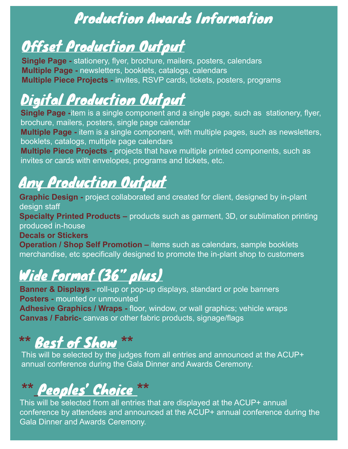## Production Awards Information

# **Offset Production Output**

**Single Page -** stationery, flyer, brochure, mailers, posters, calendars **Multiple Page -** newsletters, booklets, catalogs, calendars **Multiple Piece Projects -** invites, RSVP cards, tickets, posters, programs

# Digital Production Output

**Single Page -**item is a single component and a single page, such as stationery, flyer, brochure, mailers, posters, single page calendar

**Multiple Page -** item is a single component, with multiple pages, such as newsletters, booklets, catalogs, multiple page calendars

**Multiple Piece Projects -** projects that have multiple printed components, such as invites or cards with envelopes, programs and tickets, etc.

# Any Production Output

**Graphic Design -** project collaborated and created for client, designed by in-plant design staff

**Specialty Printed Products –** products such as garment, 3D, or sublimation printing produced in-house

**Decals or Stickers**

**Operation / Shop Self Promotion –** items such as calendars, sample booklets merchandise, etc specifically designed to promote the in-plant shop to customers

# Wide Format (36" plus)

**Banner & Displays -** roll-up or pop-up displays, standard or pole banners **Posters -** mounted or unmounted

**Adhesive Graphics / Wraps -** floor, window, or wall graphics; vehicle wraps **Canvas / Fabric-** canvas or other fabric products, signage/flags

## **\*\*** Best of Show **\*\***

This will be selected by the judges from all entries and announced at the ACUP+ annual conference during the Gala Dinner and Awards Ceremony.

## **\*\*** Peoples' Choice **\*\***

This will be selected from all entries that are displayed at the ACUP+ annual conference by attendees and announced at the ACUP+ annual conference during the Gala Dinner and Awards Ceremony.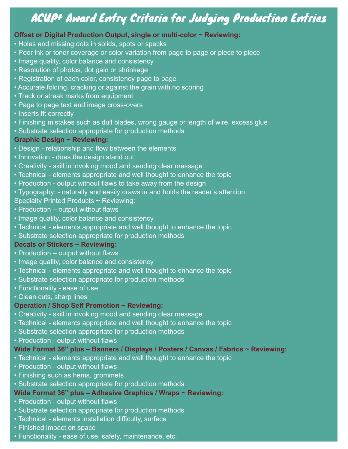#### **Digital Production** ACUP+ Award Entry Criteria for Judging Production Entries

#### Offset or Digital Production Output, single or multi-color ~ Reviewing:

- Holes and missing dots in solids, spots or specks
- Poor ink or toner coverage or color variation from page to page or piece to piece
- Image quality, color balance and consistency
- Resolution of photos, dot gain or shrinkage
- Registration of each color, consistency page to page
- Accurate folding, cracking or against the grain with no scoring
- Track or streak marks from equipment
- Page to page text and image cross-overs<br>————————————————————
- Inserts fit correctly
	- Finishing mistakes such as dull blades, wrong gauge or length of wire, excess glue
	- Substrate selection appropriate for production methods

#### **Graphic Design ~ Reviewing:**

- Design relationship and flow between the elements
- **Innovation does the design stand out**
- **Creativity skill in invoking mood and sending clear message**
- Technical elements appropriate and well thought to enhance the topic
- Production output without flaws to take away from the design
- Typography: naturally and easily draws in and holds the reader's attention Specialty Printed Products ~ Reviewing:
- Production output without flaws
- Image quality, color balance and consistency
- Technical elements appropriate and well thought to enhance the topic
- Substrate selection appropriate for production methods

#### **Decals or Stickers ~ Reviewing:**

- Production output without flaws
- Image quality, color balance and consistency
- Technical elements appropriate and well thought to enhance the topic
- Substrate selection appropriate for production methods
- Functionality ease of use
- Clean cuts, sharp lines

#### **Operation / Shop Self Promotion ~ Reviewing:**

- Creativity skill in invoking mood and sending clear message
- Technical elements appropriate and well thought to enhance the topic
- Substrate selection appropriate for production methods
- Production output without flaws

#### **Wide Format 36" plus – Banners / Displays / Posters / Canvas / Fabrics ~ Reviewing:**

- Technical elements appropriate and well thought to enhance the topic
- Production output without flaws
- Finishing such as hems, grommets
- Substrate selection appropriate for production methods

#### **Wide Format 36" plus – Adhesive Graphics / Wraps ~ Reviewing:**

- Production output without flaws
- Substrate selection appropriate for production methods
- Technical elements installation difficulty, surface
- Finished impact on space

#### • Functionality - ease of use, safety, maintenance, etc.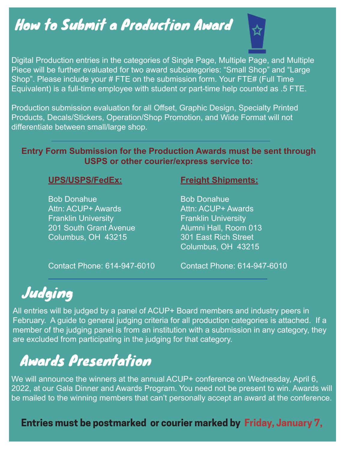## How to Submit a Production Award



Digital Production entries in the categories of Single Page, Multiple Page, and Multiple Piece will be further evaluated for two award subcategories: "Small Shop" and "Large Shop". Please include your # FTE on the submission form. Your FTE# (Full Time Equivalent) is a full-time employee with student or part-time help counted as .5 FTE.

Production submission evaluation for all Offset, Graphic Design, Specialty Printed Products, Decals/Stickers, Operation/Shop Promotion, and Wide Format will not differentiate between small/large shop.

#### **Entry Form Submission for the Production Awards must be sent through USPS or other courier/express service to:**

#### **UPS/USPS/FedEx:**

Bob Donahue Attn: ACUP+ Awards Franklin University 201 South Grant Avenue Columbus, OH 43215

#### **Freight Shipments:**

Bob Donahue Attn: ACUP+ Awards Franklin University Alumni Hall, Room 013 301 East Rich Street Columbus, OH 43215

Contact Phone: 614-947-6010

Contact Phone: 614-947-6010

## Judging

All entries will be judged by a panel of ACUP+ Board members and industry peers in February. A guide to general judging criteria for all production categories is attached. If a member of the judging panel is from an institution with a submission in any category, they are excluded from participating in the judging for that category.

## Awards Presentation

We will announce the winners at the annual ACUP+ conference on Wednesday, April 6, 2022, at our Gala Dinner and Awards Program. You need not be present to win. Awards will be mailed to the winning members that can't personally accept an award at the conference.

#### **Entries must be postmarked or courier marked by Friday, January 7,**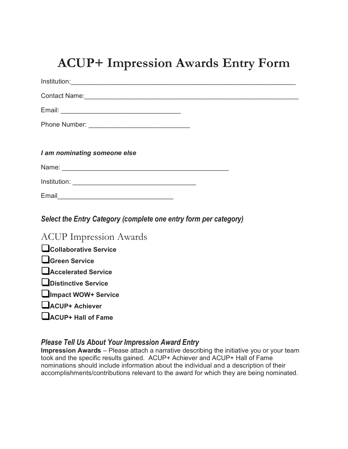### **ACUP+ Impression Awards Entry Form**

| Contact Name: 2008 Contact Name: |  |
|----------------------------------|--|
|                                  |  |
|                                  |  |
|                                  |  |
| I am nominating someone else     |  |
|                                  |  |
|                                  |  |
| Email <b>Email</b>               |  |
|                                  |  |

*Select the Entry Category (complete one entry form per category)*

| <b>ACUP Impression Awards</b> |
|-------------------------------|
| $\Box$ Collaborative Service  |
| $\Box$ Green Service          |
| <b>LAccelerated Service</b>   |
| <b>L</b> Distinctive Service  |
| Impact WOW+ Service           |
| ACUP+ Achiever                |
| ACUP+ Hall of Fame            |
|                               |

#### *Please Tell Us About Your Impression Award Entry*

**Impression Awards** – Please attach a narrative describing the initiative you or your team took and the specific results gained. ACUP+ Achiever and ACUP+ Hall of Fame nominations should include information about the individual and a description of their accomplishments/contributions relevant to the award for which they are being nominated.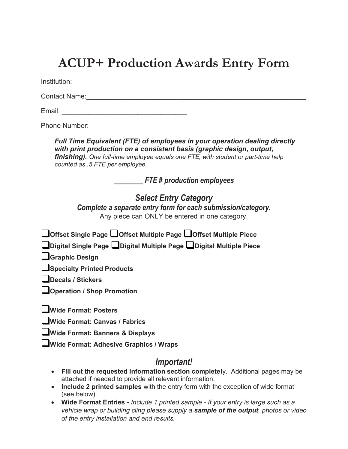### **ACUP+ Production Awards Entry Form**

| <b>Institution:</b> The contract of the contract of the contract of the contract of the contract of the contract of the contract of the contract of the contract of the contract of the contract of the contract of the contract of                                                                                                                                 |
|---------------------------------------------------------------------------------------------------------------------------------------------------------------------------------------------------------------------------------------------------------------------------------------------------------------------------------------------------------------------|
| Contact Name: The Contact Name of the Contact Name of the Contact Name of the Contact Oriental Association of the Contact Oriental Association of the Contact Oriental Association of the Contact Oriental Association of the                                                                                                                                       |
|                                                                                                                                                                                                                                                                                                                                                                     |
| <b>Phone Number:</b> The Company of the Company of the Company of the Company of the Company of the Company of the Company of the Company of the Company of the Company of the Company of the Company of the Company of the Company                                                                                                                                 |
| Full Time Equivalent (FTE) of employees in your operation dealing directly<br>with print production on a consistent basis (graphic design, output,<br>finishing). One full-time employee equals one FTE, with student or part-time help<br>counted as .5 FTE per employee.                                                                                          |
| <b>EXAMPLE FTE # production employees</b>                                                                                                                                                                                                                                                                                                                           |
| <b>Select Entry Category</b><br>Complete a separate entry form for each submission/category.<br>Any piece can ONLY be entered in one category.<br>Offset Single Page LOffset Multiple Page LOffset Multiple Piece<br>$\square$ Digital Single Page $\square$ Digital Multiple Page $\square$ Digital Multiple Piece<br>Graphic Design<br>Specialty Printed Products |
| $\blacksquare$ Decals / Stickers                                                                                                                                                                                                                                                                                                                                    |
| Operation / Shop Promotion                                                                                                                                                                                                                                                                                                                                          |
| $\blacksquare$ Wide Format: Posters<br>Wide Format: Canvas / Fabrics<br>Wide Format: Banners & Displays<br>Wide Format: Adhesive Graphics / Wraps                                                                                                                                                                                                                   |
| <i>Important!</i><br><b>Fill out the requested information section completely</b> Additional pages may be                                                                                                                                                                                                                                                           |

- **Fill out the requested information section completel**y. Additional pages may be attached if needed to provide all relevant information.
- **Include 2 printed samples** with the entry form with the exception of wide format (see below).
- **Wide Format Entries -** *Include 1 printed sample - If your entry is large such as a vehicle wrap or building cling please supply a sample of the output, photos or video of the entry installation and end results.*